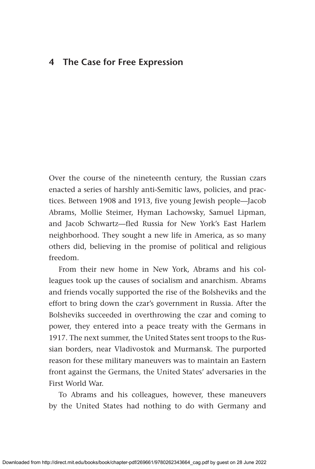## **4 The Case for Free Expression**

Over the course of the nineteenth century, the Russian czars enacted a series of harshly anti-Semitic laws, policies, and practices. Between 1908 and 1913, five young Jewish people—Jacob Abrams, Mollie Steimer, Hyman Lachowsky, Samuel Lipman, and Jacob Schwartz—fled Russia for New York's East Harlem neighborhood. They sought a new life in America, as so many others did, believing in the promise of political and religious freedom.

From their new home in New York, Abrams and his colleagues took up the causes of socialism and anarchism. Abrams and friends vocally supported the rise of the Bolsheviks and the effort to bring down the czar's government in Russia. After the Bolsheviks succeeded in overthrowing the czar and coming to power, they entered into a peace treaty with the Germans in 1917. The next summer, the United States sent troops to the Russian borders, near Vladivostok and Murmansk. The purported reason for these military maneuvers was to maintain an Eastern front against the Germans, the United States' adversaries in the First World War.

To Abrams and his colleagues, however, these maneuvers by the United States had nothing to do with Germany and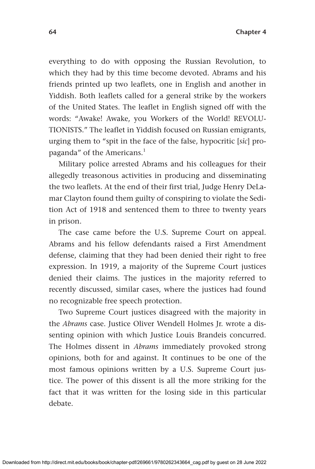**64 Chapter 4**

everything to do with opposing the Russian Revolution, to which they had by this time become devoted. Abrams and his friends printed up two leaflets, one in English and another in Yiddish. Both leaflets called for a general strike by the workers of the United States. The leaflet in English signed off with the words: "Awake! Awake, you Workers of the World! REVOLU-TIONISTS." The leaflet in Yiddish focused on Russian emigrants, urging them to "spit in the face of the false, hypocritic [*sic*] propaganda" of the Americans.<sup>1</sup>

Military police arrested Abrams and his colleagues for their allegedly treasonous activities in producing and disseminating the two leaflets. At the end of their first trial, Judge Henry DeLamar Clayton found them guilty of conspiring to violate the Sedition Act of 1918 and sentenced them to three to twenty years in prison.

The case came before the U.S. Supreme Court on appeal. Abrams and his fellow defendants raised a First Amendment defense, claiming that they had been denied their right to free expression. In 1919, a majority of the Supreme Court justices denied their claims. The justices in the majority referred to recently discussed, similar cases, where the justices had found no recognizable free speech protection.

Two Supreme Court justices disagreed with the majority in the *Abrams* case. Justice Oliver Wendell Holmes Jr. wrote a dissenting opinion with which Justice Louis Brandeis concurred. The Holmes dissent in *Abrams* immediately provoked strong opinions, both for and against. It continues to be one of the most famous opinions written by a U.S. Supreme Court justice. The power of this dissent is all the more striking for the fact that it was written for the losing side in this particular debate.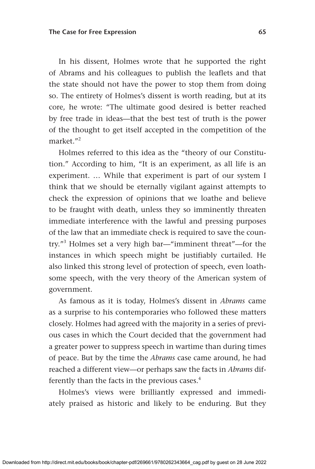In his dissent, Holmes wrote that he supported the right of Abrams and his colleagues to publish the leaflets and that the state should not have the power to stop them from doing so. The entirety of Holmes's dissent is worth reading, but at its core, he wrote: "The ultimate good desired is better reached by free trade in ideas—that the best test of truth is the power of the thought to get itself accepted in the competition of the market $"$ <sup>2</sup>

Holmes referred to this idea as the "theory of our Constitution." According to him, "It is an experiment, as all life is an experiment. … While that experiment is part of our system I think that we should be eternally vigilant against attempts to check the expression of opinions that we loathe and believe to be fraught with death, unless they so imminently threaten immediate interference with the lawful and pressing purposes of the law that an immediate check is required to save the country."3 Holmes set a very high bar—"imminent threat"—for the instances in which speech might be justifiably curtailed. He also linked this strong level of protection of speech, even loathsome speech, with the very theory of the American system of government.

As famous as it is today, Holmes's dissent in *Abrams* came as a surprise to his contemporaries who followed these matters closely. Holmes had agreed with the majority in a series of previous cases in which the Court decided that the government had a greater power to suppress speech in wartime than during times of peace. But by the time the *Abrams* case came around, he had reached a different view—or perhaps saw the facts in *Abrams* differently than the facts in the previous cases. $4$ 

Holmes's views were brilliantly expressed and immediately praised as historic and likely to be enduring. But they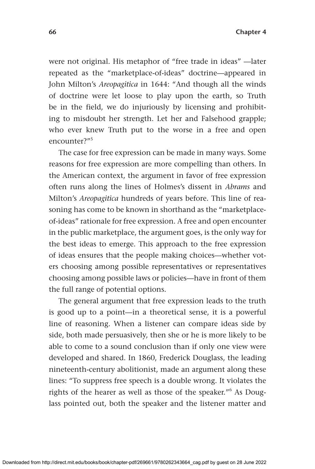were not original. His metaphor of "free trade in ideas" —later repeated as the "marketplace-of-ideas" doctrine—appeared in John Milton's *Areopagitica* in 1644: "And though all the winds of doctrine were let loose to play upon the earth, so Truth be in the field, we do injuriously by licensing and prohibiting to misdoubt her strength. Let her and Falsehood grapple; who ever knew Truth put to the worse in a free and open encounter?"<sup>5</sup>

The case for free expression can be made in many ways. Some reasons for free expression are more compelling than others. In the American context, the argument in favor of free expression often runs along the lines of Holmes's dissent in *Abrams* and Milton's *Areopagitica* hundreds of years before. This line of reasoning has come to be known in shorthand as the "marketplaceof-ideas" rationale for free expression. A free and open encounter in the public marketplace, the argument goes, is the only way for the best ideas to emerge. This approach to the free expression of ideas ensures that the people making choices—whether voters choosing among possible representatives or representatives choosing among possible laws or policies—have in front of them the full range of potential options.

The general argument that free expression leads to the truth is good up to a point—in a theoretical sense, it is a powerful line of reasoning. When a listener can compare ideas side by side, both made persuasively, then she or he is more likely to be able to come to a sound conclusion than if only one view were developed and shared. In 1860, Frederick Douglass, the leading nineteenth-century abolitionist, made an argument along these lines: "To suppress free speech is a double wrong. It violates the rights of the hearer as well as those of the speaker."<sup>6</sup> As Douglass pointed out, both the speaker and the listener matter and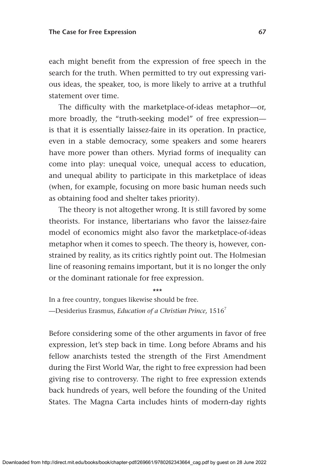each might benefit from the expression of free speech in the search for the truth. When permitted to try out expressing various ideas, the speaker, too, is more likely to arrive at a truthful statement over time.

The difficulty with the marketplace-of-ideas metaphor—or, more broadly, the "truth-seeking model" of free expression is that it is essentially laissez-faire in its operation. In practice, even in a stable democracy, some speakers and some hearers have more power than others. Myriad forms of inequality can come into play: unequal voice, unequal access to education, and unequal ability to participate in this marketplace of ideas (when, for example, focusing on more basic human needs such as obtaining food and shelter takes priority).

The theory is not altogether wrong. It is still favored by some theorists. For instance, libertarians who favor the laissez-faire model of economics might also favor the marketplace-of-ideas metaphor when it comes to speech. The theory is, however, constrained by reality, as its critics rightly point out. The Holmesian line of reasoning remains important, but it is no longer the only or the dominant rationale for free expression.

\*\*\*

In a free country, tongues likewise should be free. —Desiderius Erasmus, *Education of a Christian Prince,* 15167

Before considering some of the other arguments in favor of free expression, let's step back in time. Long before Abrams and his fellow anarchists tested the strength of the First Amendment during the First World War, the right to free expression had been giving rise to controversy. The right to free expression extends back hundreds of years, well before the founding of the United States. The Magna Carta includes hints of modern-day rights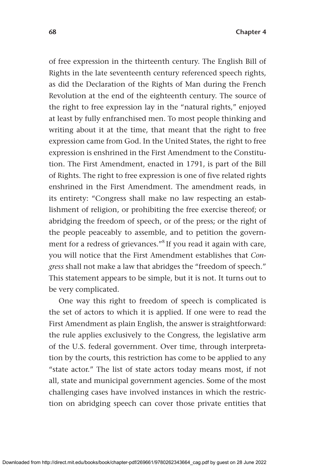of free expression in the thirteenth century. The English Bill of Rights in the late seventeenth century referenced speech rights, as did the Declaration of the Rights of Man during the French Revolution at the end of the eighteenth century. The source of the right to free expression lay in the "natural rights," enjoyed at least by fully enfranchised men. To most people thinking and writing about it at the time, that meant that the right to free expression came from God. In the United States, the right to free expression is enshrined in the First Amendment to the Constitution. The First Amendment, enacted in 1791, is part of the Bill of Rights. The right to free expression is one of five related rights enshrined in the First Amendment. The amendment reads, in its entirety: "Congress shall make no law respecting an establishment of religion, or prohibiting the free exercise thereof; or abridging the freedom of speech, or of the press; or the right of the people peaceably to assemble, and to petition the government for a redress of grievances."<sup>8</sup> If you read it again with care, you will notice that the First Amendment establishes that *Congress* shall not make a law that abridges the "freedom of speech." This statement appears to be simple, but it is not. It turns out to be very complicated.

One way this right to freedom of speech is complicated is the set of actors to which it is applied. If one were to read the First Amendment as plain English, the answer is straightforward: the rule applies exclusively to the Congress, the legislative arm of the U.S. federal government. Over time, through interpretation by the courts, this restriction has come to be applied to any "state actor." The list of state actors today means most, if not all, state and municipal government agencies. Some of the most challenging cases have involved instances in which the restriction on abridging speech can cover those private entities that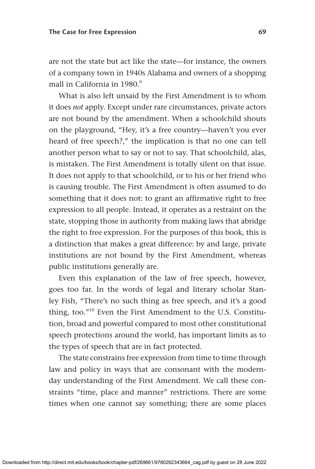are not the state but act like the state—for instance, the owners of a company town in 1940s Alabama and owners of a shopping mall in California in 1980.<sup>9</sup>

What is also left unsaid by the First Amendment is to whom it does *not* apply. Except under rare circumstances, private actors are not bound by the amendment. When a schoolchild shouts on the playground, "Hey, it's a free country—haven't you ever heard of free speech?," the implication is that no one can tell another person what to say or not to say. That schoolchild, alas, is mistaken. The First Amendment is totally silent on that issue. It does not apply to that schoolchild, or to his or her friend who is causing trouble. The First Amendment is often assumed to do something that it does not: to grant an affirmative right to free expression to all people. Instead, it operates as a restraint on the state, stopping those in authority from making laws that abridge the right to free expression. For the purposes of this book, this is a distinction that makes a great difference: by and large, private institutions are not bound by the First Amendment, whereas public institutions generally are.

Even this explanation of the law of free speech, however, goes too far. In the words of legal and literary scholar Stanley Fish, "There's no such thing as free speech, and it's a good thing, too."10 Even the First Amendment to the U.S. Constitution, broad and powerful compared to most other constitutional speech protections around the world, has important limits as to the types of speech that are in fact protected.

The state constrains free expression from time to time through law and policy in ways that are consonant with the modernday understanding of the First Amendment. We call these constraints "time, place and manner" restrictions. There are some times when one cannot say something; there are some places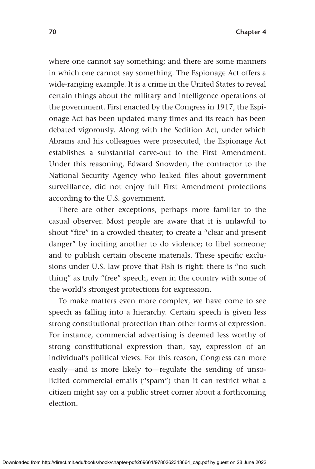where one cannot say something; and there are some manners in which one cannot say something. The Espionage Act offers a wide-ranging example. It is a crime in the United States to reveal certain things about the military and intelligence operations of the government. First enacted by the Congress in 1917, the Espionage Act has been updated many times and its reach has been debated vigorously. Along with the Sedition Act, under which Abrams and his colleagues were prosecuted, the Espionage Act establishes a substantial carve-out to the First Amendment. Under this reasoning, Edward Snowden, the contractor to the National Security Agency who leaked files about government surveillance, did not enjoy full First Amendment protections according to the U.S. government.

There are other exceptions, perhaps more familiar to the casual observer. Most people are aware that it is unlawful to shout "fire" in a crowded theater; to create a "clear and present danger" by inciting another to do violence; to libel someone; and to publish certain obscene materials. These specific exclusions under U.S. law prove that Fish is right: there is "no such thing" as truly "free" speech, even in the country with some of the world's strongest protections for expression.

To make matters even more complex, we have come to see speech as falling into a hierarchy. Certain speech is given less strong constitutional protection than other forms of expression. For instance, commercial advertising is deemed less worthy of strong constitutional expression than, say, expression of an individual's political views. For this reason, Congress can more easily—and is more likely to—regulate the sending of unsolicited commercial emails ("spam") than it can restrict what a citizen might say on a public street corner about a forthcoming election.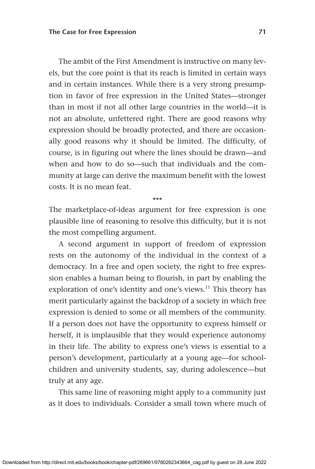The ambit of the First Amendment is instructive on many levels, but the core point is that its reach is limited in certain ways and in certain instances. While there is a very strong presumption in favor of free expression in the United States—stronger than in most if not all other large countries in the world—it is not an absolute, unfettered right. There are good reasons why expression should be broadly protected, and there are occasionally good reasons why it should be limited. The difficulty, of course, is in figuring out where the lines should be drawn—and when and how to do so—such that individuals and the community at large can derive the maximum benefit with the lowest costs. It is no mean feat.

\*\*\*

The marketplace-of-ideas argument for free expression is one plausible line of reasoning to resolve this difficulty, but it is not the most compelling argument.

A second argument in support of freedom of expression rests on the autonomy of the individual in the context of a democracy. In a free and open society, the right to free expression enables a human being to flourish, in part by enabling the exploration of one's identity and one's views.<sup>11</sup> This theory has merit particularly against the backdrop of a society in which free expression is denied to some or all members of the community. If a person does not have the opportunity to express himself or herself, it is implausible that they would experience autonomy in their life. The ability to express one's views is essential to a person's development, particularly at a young age—for schoolchildren and university students, say, during adolescence—but truly at any age.

This same line of reasoning might apply to a community just as it does to individuals. Consider a small town where much of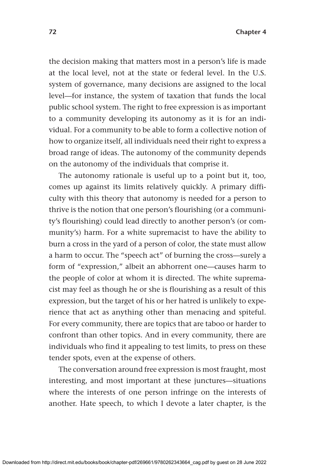**72 Chapter 4**

the decision making that matters most in a person's life is made at the local level, not at the state or federal level. In the U.S. system of governance, many decisions are assigned to the local level—for instance, the system of taxation that funds the local public school system. The right to free expression is as important to a community developing its autonomy as it is for an individual. For a community to be able to form a collective notion of how to organize itself, all individuals need their right to express a broad range of ideas. The autonomy of the community depends on the autonomy of the individuals that comprise it.

The autonomy rationale is useful up to a point but it, too, comes up against its limits relatively quickly. A primary difficulty with this theory that autonomy is needed for a person to thrive is the notion that one person's flourishing (or a community's flourishing) could lead directly to another person's (or community's) harm. For a white supremacist to have the ability to burn a cross in the yard of a person of color, the state must allow a harm to occur. The "speech act" of burning the cross—surely a form of "expression," albeit an abhorrent one—causes harm to the people of color at whom it is directed. The white supremacist may feel as though he or she is flourishing as a result of this expression, but the target of his or her hatred is unlikely to experience that act as anything other than menacing and spiteful. For every community, there are topics that are taboo or harder to confront than other topics. And in every community, there are individuals who find it appealing to test limits, to press on these tender spots, even at the expense of others.

The conversation around free expression is most fraught, most interesting, and most important at these junctures—situations where the interests of one person infringe on the interests of another. Hate speech, to which I devote a later chapter, is the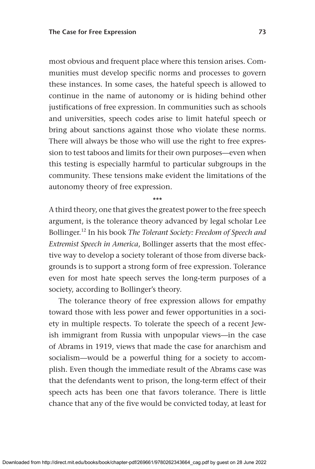most obvious and frequent place where this tension arises. Communities must develop specific norms and processes to govern these instances. In some cases, the hateful speech is allowed to continue in the name of autonomy or is hiding behind other justifications of free expression. In communities such as schools and universities, speech codes arise to limit hateful speech or bring about sanctions against those who violate these norms. There will always be those who will use the right to free expression to test taboos and limits for their own purposes—even when this testing is especially harmful to particular subgroups in the community. These tensions make evident the limitations of the autonomy theory of free expression.

\*\*\*

A third theory, one that gives the greatest power to the free speech argument, is the tolerance theory advanced by legal scholar Lee Bollinger.12 In his book *The Tolerant Society: Freedom of Speech and Extremist Speech in America*, Bollinger asserts that the most effective way to develop a society tolerant of those from diverse backgrounds is to support a strong form of free expression. Tolerance even for most hate speech serves the long-term purposes of a society, according to Bollinger's theory.

The tolerance theory of free expression allows for empathy toward those with less power and fewer opportunities in a society in multiple respects. To tolerate the speech of a recent Jewish immigrant from Russia with unpopular views—in the case of Abrams in 1919, views that made the case for anarchism and socialism—would be a powerful thing for a society to accomplish. Even though the immediate result of the Abrams case was that the defendants went to prison, the long-term effect of their speech acts has been one that favors tolerance. There is little chance that any of the five would be convicted today, at least for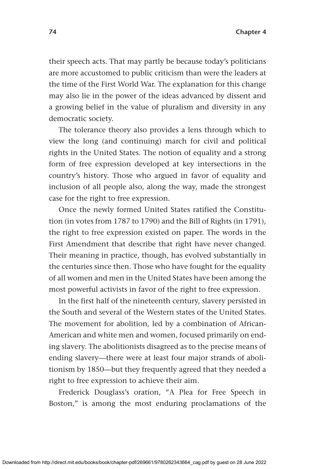their speech acts. That may partly be because today's politicians are more accustomed to public criticism than were the leaders at the time of the First World War. The explanation for this change may also lie in the power of the ideas advanced by dissent and a growing belief in the value of pluralism and diversity in any democratic society.

The tolerance theory also provides a lens through which to view the long (and continuing) march for civil and political rights in the United States. The notion of equality and a strong form of free expression developed at key intersections in the country's history. Those who argued in favor of equality and inclusion of all people also, along the way, made the strongest case for the right to free expression.

Once the newly formed United States ratified the Constitution (in votes from 1787 to 1790) and the Bill of Rights (in 1791), the right to free expression existed on paper. The words in the First Amendment that describe that right have never changed. Their meaning in practice, though, has evolved substantially in the centuries since then. Those who have fought for the equality of all women and men in the United States have been among the most powerful activists in favor of the right to free expression.

In the first half of the nineteenth century, slavery persisted in the South and several of the Western states of the United States. The movement for abolition, led by a combination of African-American and white men and women, focused primarily on ending slavery. The abolitionists disagreed as to the precise means of ending slavery—there were at least four major strands of abolitionism by 1850—but they frequently agreed that they needed a right to free expression to achieve their aim.

Frederick Douglass's oration, "A Plea for Free Speech in Boston," is among the most enduring proclamations of the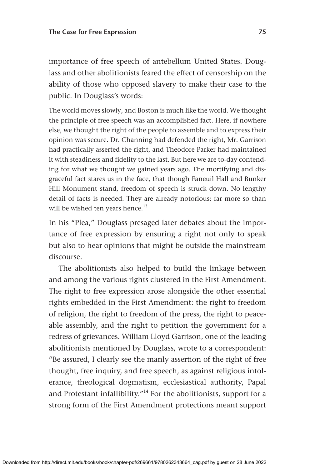importance of free speech of antebellum United States. Douglass and other abolitionists feared the effect of censorship on the ability of those who opposed slavery to make their case to the public. In Douglass's words:

The world moves slowly, and Boston is much like the world. We thought the principle of free speech was an accomplished fact. Here, if nowhere else, we thought the right of the people to assemble and to express their opinion was secure. Dr. Channing had defended the right, Mr. Garrison had practically asserted the right, and Theodore Parker had maintained it with steadiness and fidelity to the last. But here we are to-day contending for what we thought we gained years ago. The mortifying and disgraceful fact stares us in the face, that though Faneuil Hall and Bunker Hill Monument stand, freedom of speech is struck down. No lengthy detail of facts is needed. They are already notorious; far more so than will be wished ten years hence.<sup>13</sup>

In his "Plea," Douglass presaged later debates about the importance of free expression by ensuring a right not only to speak but also to hear opinions that might be outside the mainstream discourse.

The abolitionists also helped to build the linkage between and among the various rights clustered in the First Amendment. The right to free expression arose alongside the other essential rights embedded in the First Amendment: the right to freedom of religion, the right to freedom of the press, the right to peaceable assembly, and the right to petition the government for a redress of grievances. William Lloyd Garrison, one of the leading abolitionists mentioned by Douglass, wrote to a correspondent: "Be assured, I clearly see the manly assertion of the right of free thought, free inquiry, and free speech, as against religious intolerance, theological dogmatism, ecclesiastical authority, Papal and Protestant infallibility. $14$ <sup>14</sup> For the abolitionists, support for a strong form of the First Amendment protections meant support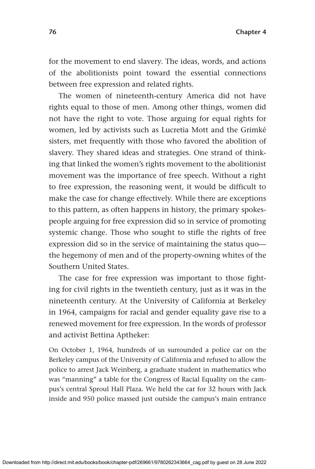for the movement to end slavery. The ideas, words, and actions of the abolitionists point toward the essential connections between free expression and related rights.

The women of nineteenth-century America did not have rights equal to those of men. Among other things, women did not have the right to vote. Those arguing for equal rights for women, led by activists such as Lucretia Mott and the Grimké sisters, met frequently with those who favored the abolition of slavery. They shared ideas and strategies. One strand of thinking that linked the women's rights movement to the abolitionist movement was the importance of free speech. Without a right to free expression, the reasoning went, it would be difficult to make the case for change effectively. While there are exceptions to this pattern, as often happens in history, the primary spokespeople arguing for free expression did so in service of promoting systemic change. Those who sought to stifle the rights of free expression did so in the service of maintaining the status quo the hegemony of men and of the property-owning whites of the Southern United States.

The case for free expression was important to those fighting for civil rights in the twentieth century, just as it was in the nineteenth century. At the University of California at Berkeley in 1964, campaigns for racial and gender equality gave rise to a renewed movement for free expression. In the words of professor and activist Bettina Aptheker:

On October 1, 1964, hundreds of us surrounded a police car on the Berkeley campus of the University of California and refused to allow the police to arrest Jack Weinberg, a graduate student in mathematics who was "manning" a table for the Congress of Racial Equality on the campus's central Sproul Hall Plaza. We held the car for 32 hours with Jack inside and 950 police massed just outside the campus's main entrance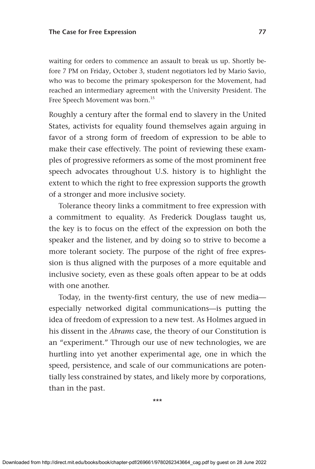waiting for orders to commence an assault to break us up. Shortly before 7 PM on Friday, October 3, student negotiators led by Mario Savio, who was to become the primary spokesperson for the Movement, had reached an intermediary agreement with the University President. The Free Speech Movement was born.<sup>15</sup>

Roughly a century after the formal end to slavery in the United States, activists for equality found themselves again arguing in favor of a strong form of freedom of expression to be able to make their case effectively. The point of reviewing these examples of progressive reformers as some of the most prominent free speech advocates throughout U.S. history is to highlight the extent to which the right to free expression supports the growth of a stronger and more inclusive society.

Tolerance theory links a commitment to free expression with a commitment to equality. As Frederick Douglass taught us, the key is to focus on the effect of the expression on both the speaker and the listener, and by doing so to strive to become a more tolerant society. The purpose of the right of free expression is thus aligned with the purposes of a more equitable and inclusive society, even as these goals often appear to be at odds with one another.

Today, in the twenty-first century, the use of new media especially networked digital communications—is putting the idea of freedom of expression to a new test. As Holmes argued in his dissent in the *Abrams* case, the theory of our Constitution is an "experiment." Through our use of new technologies, we are hurtling into yet another experimental age, one in which the speed, persistence, and scale of our communications are potentially less constrained by states, and likely more by corporations, than in the past.

\*\*\*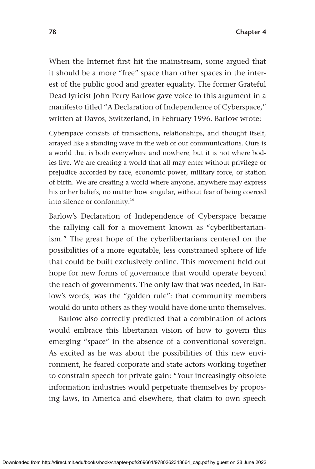When the Internet first hit the mainstream, some argued that it should be a more "free" space than other spaces in the interest of the public good and greater equality. The former Grateful Dead lyricist John Perry Barlow gave voice to this argument in a manifesto titled "A Declaration of Independence of Cyberspace," written at Davos, Switzerland, in February 1996. Barlow wrote:

Cyberspace consists of transactions, relationships, and thought itself, arrayed like a standing wave in the web of our communications. Ours is a world that is both everywhere and nowhere, but it is not where bodies live. We are creating a world that all may enter without privilege or prejudice accorded by race, economic power, military force, or station of birth. We are creating a world where anyone, anywhere may express his or her beliefs, no matter how singular, without fear of being coerced into silence or conformity.16

Barlow's Declaration of Independence of Cyberspace became the rallying call for a movement known as "cyberlibertarianism." The great hope of the cyberlibertarians centered on the possibilities of a more equitable, less constrained sphere of life that could be built exclusively online. This movement held out hope for new forms of governance that would operate beyond the reach of governments. The only law that was needed, in Barlow's words, was the "golden rule": that community members would do unto others as they would have done unto themselves.

Barlow also correctly predicted that a combination of actors would embrace this libertarian vision of how to govern this emerging "space" in the absence of a conventional sovereign. As excited as he was about the possibilities of this new environment, he feared corporate and state actors working together to constrain speech for private gain: "Your increasingly obsolete information industries would perpetuate themselves by proposing laws, in America and elsewhere, that claim to own speech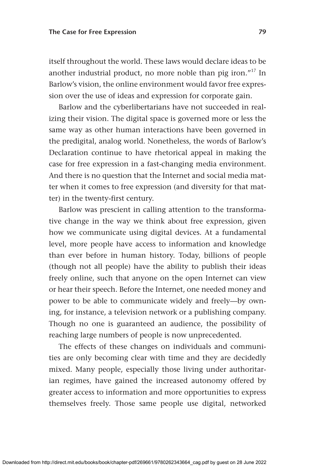itself throughout the world. These laws would declare ideas to be another industrial product, no more noble than pig iron. $17 \text{ In}$ Barlow's vision, the online environment would favor free expression over the use of ideas and expression for corporate gain.

Barlow and the cyberlibertarians have not succeeded in realizing their vision. The digital space is governed more or less the same way as other human interactions have been governed in the predigital, analog world. Nonetheless, the words of Barlow's Declaration continue to have rhetorical appeal in making the case for free expression in a fast-changing media environment. And there is no question that the Internet and social media matter when it comes to free expression (and diversity for that matter) in the twenty-first century.

Barlow was prescient in calling attention to the transformative change in the way we think about free expression, given how we communicate using digital devices. At a fundamental level, more people have access to information and knowledge than ever before in human history. Today, billions of people (though not all people) have the ability to publish their ideas freely online, such that anyone on the open Internet can view or hear their speech. Before the Internet, one needed money and power to be able to communicate widely and freely—by owning, for instance, a television network or a publishing company. Though no one is guaranteed an audience, the possibility of reaching large numbers of people is now unprecedented.

The effects of these changes on individuals and communities are only becoming clear with time and they are decidedly mixed. Many people, especially those living under authoritarian regimes, have gained the increased autonomy offered by greater access to information and more opportunities to express themselves freely. Those same people use digital, networked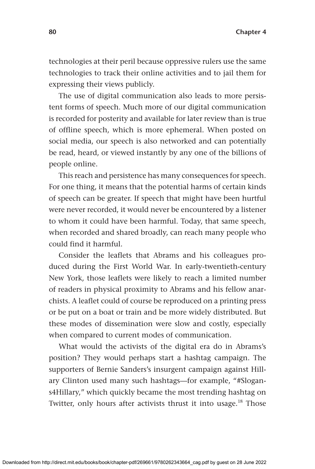technologies at their peril because oppressive rulers use the same technologies to track their online activities and to jail them for expressing their views publicly.

The use of digital communication also leads to more persistent forms of speech. Much more of our digital communication is recorded for posterity and available for later review than is true of offline speech, which is more ephemeral. When posted on social media, our speech is also networked and can potentially be read, heard, or viewed instantly by any one of the billions of people online.

This reach and persistence has many consequences for speech. For one thing, it means that the potential harms of certain kinds of speech can be greater. If speech that might have been hurtful were never recorded, it would never be encountered by a listener to whom it could have been harmful. Today, that same speech, when recorded and shared broadly, can reach many people who could find it harmful.

Consider the leaflets that Abrams and his colleagues produced during the First World War. In early-twentieth-century New York, those leaflets were likely to reach a limited number of readers in physical proximity to Abrams and his fellow anarchists. A leaflet could of course be reproduced on a printing press or be put on a boat or train and be more widely distributed. But these modes of dissemination were slow and costly, especially when compared to current modes of communication.

What would the activists of the digital era do in Abrams's position? They would perhaps start a hashtag campaign. The supporters of Bernie Sanders's insurgent campaign against Hillary Clinton used many such hashtags—for example, "#Slogans4Hillary," which quickly became the most trending hashtag on Twitter, only hours after activists thrust it into usage.<sup>18</sup> Those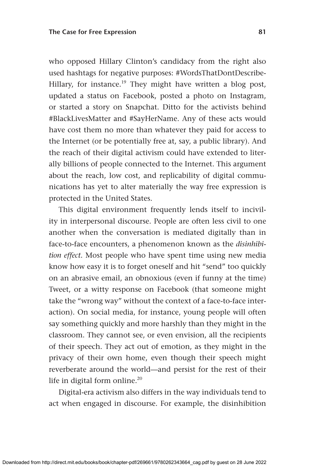who opposed Hillary Clinton's candidacy from the right also used hashtags for negative purposes: #WordsThatDontDescribe-Hillary, for instance.<sup>19</sup> They might have written a blog post, updated a status on Facebook, posted a photo on Instagram, or started a story on Snapchat. Ditto for the activists behind #BlackLivesMatter and #SayHerName. Any of these acts would have cost them no more than whatever they paid for access to the Internet (or be potentially free at, say, a public library). And the reach of their digital activism could have extended to literally billions of people connected to the Internet. This argument about the reach, low cost, and replicability of digital communications has yet to alter materially the way free expression is protected in the United States.

This digital environment frequently lends itself to incivility in interpersonal discourse. People are often less civil to one another when the conversation is mediated digitally than in face-to-face encounters, a phenomenon known as the *disinhibition effect*. Most people who have spent time using new media know how easy it is to forget oneself and hit "send" too quickly on an abrasive email, an obnoxious (even if funny at the time) Tweet, or a witty response on Facebook (that someone might take the "wrong way" without the context of a face-to-face interaction). On social media, for instance, young people will often say something quickly and more harshly than they might in the classroom. They cannot see, or even envision, all the recipients of their speech. They act out of emotion, as they might in the privacy of their own home, even though their speech might reverberate around the world—and persist for the rest of their life in digital form online.<sup>20</sup>

Digital-era activism also differs in the way individuals tend to act when engaged in discourse. For example, the disinhibition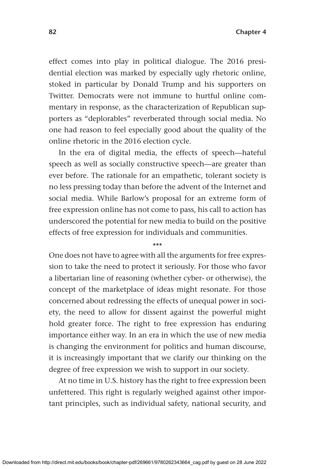**82 Chapter 4**

effect comes into play in political dialogue. The 2016 presidential election was marked by especially ugly rhetoric online, stoked in particular by Donald Trump and his supporters on Twitter. Democrats were not immune to hurtful online commentary in response, as the characterization of Republican supporters as "deplorables" reverberated through social media. No one had reason to feel especially good about the quality of the online rhetoric in the 2016 election cycle.

In the era of digital media, the effects of speech—hateful speech as well as socially constructive speech—are greater than ever before. The rationale for an empathetic, tolerant society is no less pressing today than before the advent of the Internet and social media. While Barlow's proposal for an extreme form of free expression online has not come to pass, his call to action has underscored the potential for new media to build on the positive effects of free expression for individuals and communities.

\*\*\*

One does not have to agree with all the arguments for free expression to take the need to protect it seriously. For those who favor a libertarian line of reasoning (whether cyber- or otherwise), the concept of the marketplace of ideas might resonate. For those concerned about redressing the effects of unequal power in society, the need to allow for dissent against the powerful might hold greater force. The right to free expression has enduring importance either way. In an era in which the use of new media is changing the environment for politics and human discourse, it is increasingly important that we clarify our thinking on the degree of free expression we wish to support in our society.

At no time in U.S. history has the right to free expression been unfettered. This right is regularly weighed against other important principles, such as individual safety, national security, and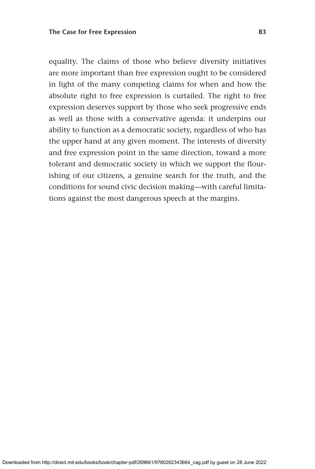equality. The claims of those who believe diversity initiatives are more important than free expression ought to be considered in light of the many competing claims for when and how the absolute right to free expression is curtailed. The right to free expression deserves support by those who seek progressive ends as well as those with a conservative agenda: it underpins our ability to function as a democratic society, regardless of who has the upper hand at any given moment. The interests of diversity and free expression point in the same direction, toward a more tolerant and democratic society in which we support the flourishing of our citizens, a genuine search for the truth, and the conditions for sound civic decision making—with careful limitations against the most dangerous speech at the margins.